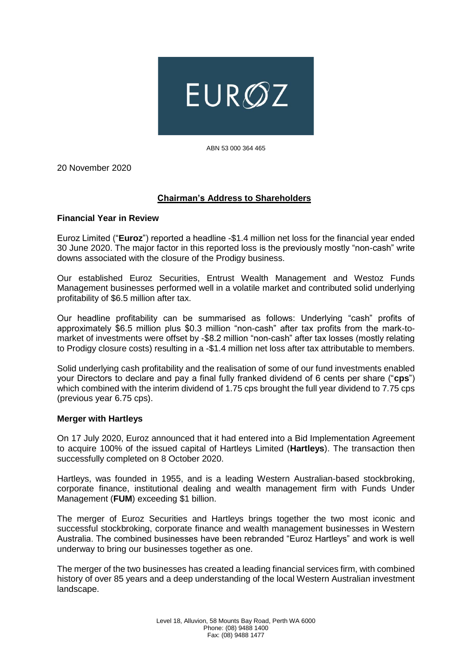

ABN 53 000 364 465

20 November 2020

# **Chairman's Address to Shareholders**

### **Financial Year in Review**

Euroz Limited ("**Euroz**") reported a headline -\$1.4 million net loss for the financial year ended 30 June 2020. The major factor in this reported loss is the previously mostly "non-cash" write downs associated with the closure of the Prodigy business.

Our established Euroz Securities, Entrust Wealth Management and Westoz Funds Management businesses performed well in a volatile market and contributed solid underlying profitability of \$6.5 million after tax.

Our headline profitability can be summarised as follows: Underlying "cash" profits of approximately \$6.5 million plus \$0.3 million "non-cash" after tax profits from the mark-tomarket of investments were offset by -\$8.2 million "non-cash" after tax losses (mostly relating to Prodigy closure costs) resulting in a -\$1.4 million net loss after tax attributable to members.

Solid underlying cash profitability and the realisation of some of our fund investments enabled your Directors to declare and pay a final fully franked dividend of 6 cents per share ("**cps**") which combined with the interim dividend of 1.75 cps brought the full year dividend to 7.75 cps (previous year 6.75 cps).

#### **Merger with Hartleys**

On 17 July 2020, Euroz announced that it had entered into a Bid Implementation Agreement to acquire 100% of the issued capital of Hartleys Limited (**Hartleys**). The transaction then successfully completed on 8 October 2020.

Hartleys, was founded in 1955, and is a leading Western Australian-based stockbroking, corporate finance, institutional dealing and wealth management firm with Funds Under Management (**FUM**) exceeding \$1 billion.

The merger of Euroz Securities and Hartleys brings together the two most iconic and successful stockbroking, corporate finance and wealth management businesses in Western Australia. The combined businesses have been rebranded "Euroz Hartleys" and work is well underway to bring our businesses together as one.

The merger of the two businesses has created a leading financial services firm, with combined history of over 85 years and a deep understanding of the local Western Australian investment landscape.